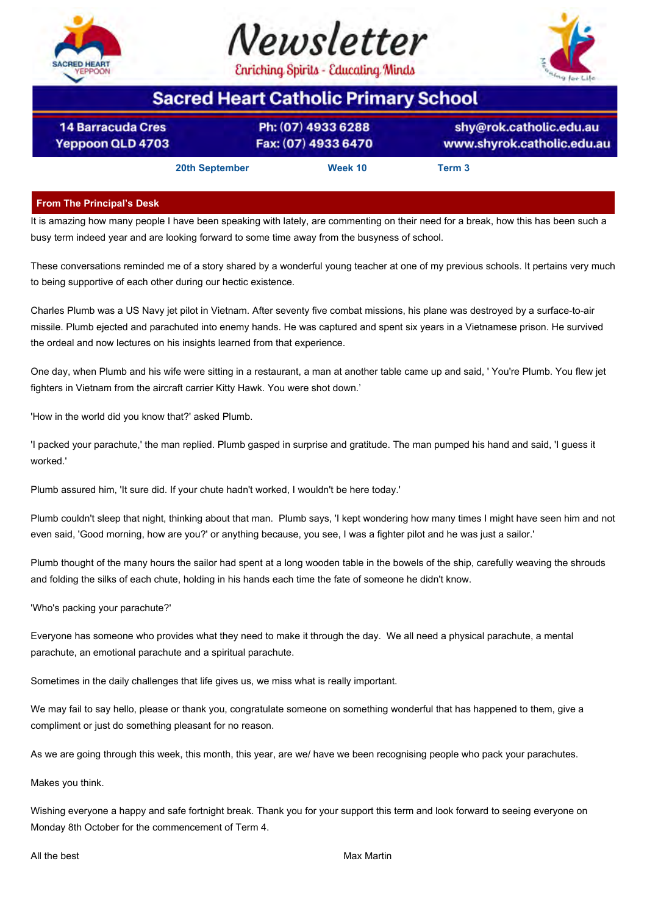





### **Sacred Heart Catholic Primary School**

**14 Barracuda Cres** Yeppoon QLD 4703

Ph: (07) 4933 6288 Fax: (07) 4933 6470

shy@rok.catholic.edu.au www.shyrok.catholic.edu.au

**20th September Week 10 Term 3** 

#### **From The Principal's Desk**

It is amazing how many people I have been speaking with lately, are commenting on their need for a break, how this has been such a busy term indeed year and are looking forward to some time away from the busyness of school.

These conversations reminded me of a story shared by a wonderful young teacher at one of my previous schools. It pertains very much to being supportive of each other during our hectic existence.

Charles Plumb was a US Navy jet pilot in Vietnam. After seventy five combat missions, his plane was destroyed by a surface-to-air missile. Plumb ejected and parachuted into enemy hands. He was captured and spent six years in a Vietnamese prison. He survived the ordeal and now lectures on his insights learned from that experience.

One day, when Plumb and his wife were sitting in a restaurant, a man at another table came up and said, ' You're Plumb. You flew jet fighters in Vietnam from the aircraft carrier Kitty Hawk. You were shot down.'

'How in the world did you know that?' asked Plumb.

'I packed your parachute,' the man replied. Plumb gasped in surprise and gratitude. The man pumped his hand and said, 'I guess it worked.'

Plumb assured him, 'It sure did. If your chute hadn't worked, I wouldn't be here today.'

Plumb couldn't sleep that night, thinking about that man. Plumb says, 'I kept wondering how many times I might have seen him and not even said, 'Good morning, how are you?' or anything because, you see, I was a fighter pilot and he was just a sailor.'

Plumb thought of the many hours the sailor had spent at a long wooden table in the bowels of the ship, carefully weaving the shrouds and folding the silks of each chute, holding in his hands each time the fate of someone he didn't know.

'Who's packing your parachute?'

Everyone has someone who provides what they need to make it through the day. We all need a physical parachute, a mental parachute, an emotional parachute and a spiritual parachute.

Sometimes in the daily challenges that life gives us, we miss what is really important.

We may fail to say hello, please or thank you, congratulate someone on something wonderful that has happened to them, give a compliment or just do something pleasant for no reason.

As we are going through this week, this month, this year, are we/ have we been recognising people who pack your parachutes.

Makes you think.

Wishing everyone a happy and safe fortnight break. Thank you for your support this term and look forward to seeing everyone on Monday 8th October for the commencement of Term 4.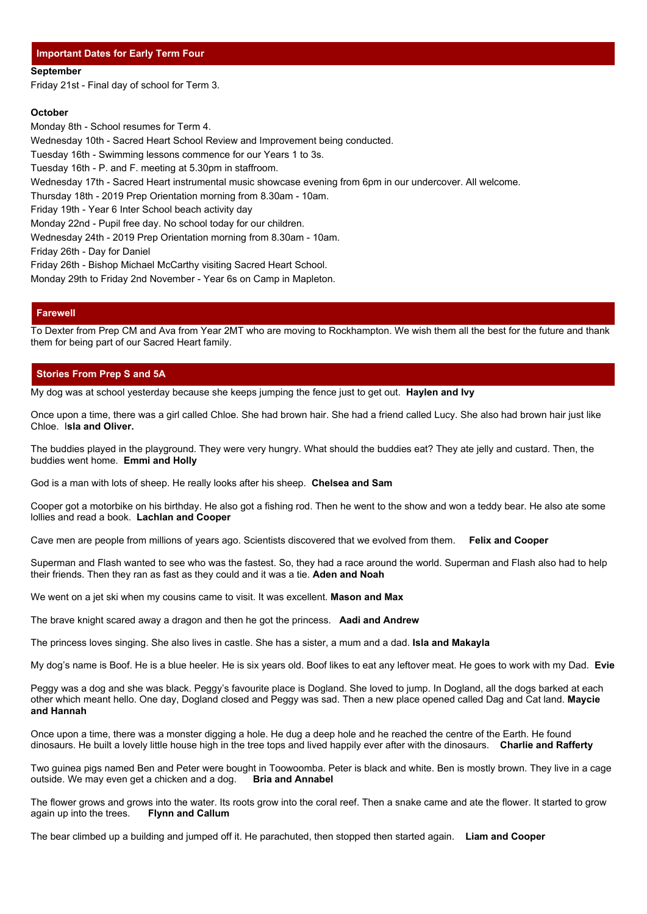#### **Important Dates for Early Term Four**

#### **September**

Friday 21st - Final day of school for Term 3.

#### **October**

Monday 8th - School resumes for Term 4. Wednesday 10th - Sacred Heart School Review and Improvement being conducted. Tuesday 16th - Swimming lessons commence for our Years 1 to 3s. Tuesday 16th - P. and F. meeting at 5.30pm in staffroom. Wednesday 17th - Sacred Heart instrumental music showcase evening from 6pm in our undercover. All welcome. Thursday 18th - 2019 Prep Orientation morning from 8.30am - 10am. Friday 19th - Year 6 Inter School beach activity day Monday 22nd - Pupil free day. No school today for our children. Wednesday 24th - 2019 Prep Orientation morning from 8.30am - 10am. Friday 26th - Day for Daniel Friday 26th - Bishop Michael McCarthy visiting Sacred Heart School. Monday 29th to Friday 2nd November - Year 6s on Camp in Mapleton.

#### **Farewell**

To Dexter from Prep CM and Ava from Year 2MT who are moving to Rockhampton. We wish them all the best for the future and thank them for being part of our Sacred Heart family.

#### **Stories From Prep S and 5A**

My dog was at school yesterday because she keeps jumping the fence just to get out. **Haylen and Ivy** 

Once upon a time, there was a girl called Chloe. She had brown hair. She had a friend called Lucy. She also had brown hair just like Chloe. I**sla and Oliver.** 

The buddies played in the playground. They were very hungry. What should the buddies eat? They ate jelly and custard. Then, the buddies went home. **Emmi and Holly** 

God is a man with lots of sheep. He really looks after his sheep. **Chelsea and Sam** 

Cooper got a motorbike on his birthday. He also got a fishing rod. Then he went to the show and won a teddy bear. He also ate some lollies and read a book. **Lachlan and Cooper** 

Cave men are people from millions of years ago. Scientists discovered that we evolved from them. **Felix and Cooper** 

Superman and Flash wanted to see who was the fastest. So, they had a race around the world. Superman and Flash also had to help their friends. Then they ran as fast as they could and it was a tie. **Aden and Noah** 

We went on a jet ski when my cousins came to visit. It was excellent. **Mason and Max** 

The brave knight scared away a dragon and then he got the princess. **Aadi and Andrew** 

The princess loves singing. She also lives in castle. She has a sister, a mum and a dad. **Isla and Makayla** 

My dog's name is Boof. He is a blue heeler. He is six years old. Boof likes to eat any leftover meat. He goes to work with my Dad. **Evie** 

Peggy was a dog and she was black. Peggy's favourite place is Dogland. She loved to jump. In Dogland, all the dogs barked at each other which meant hello. One day, Dogland closed and Peggy was sad. Then a new place opened called Dag and Cat land. **Maycie and Hannah** 

Once upon a time, there was a monster digging a hole. He dug a deep hole and he reached the centre of the Earth. He found dinosaurs. He built a lovely little house high in the tree tops and lived happily ever after with the dinosaurs. **Charlie and Rafferty** 

Two guinea pigs named Ben and Peter were bought in Toowoomba. Peter is black and white. Ben is mostly brown. They live in a cage outside. We may even get a chicken and a dog. **Bria and Annabel** 

The flower grows and grows into the water. Its roots grow into the coral reef. Then a snake came and ate the flower. It started to grow again up into the trees. **Flynn and Callum** 

The bear climbed up a building and jumped off it. He parachuted, then stopped then started again. **Liam and Cooper**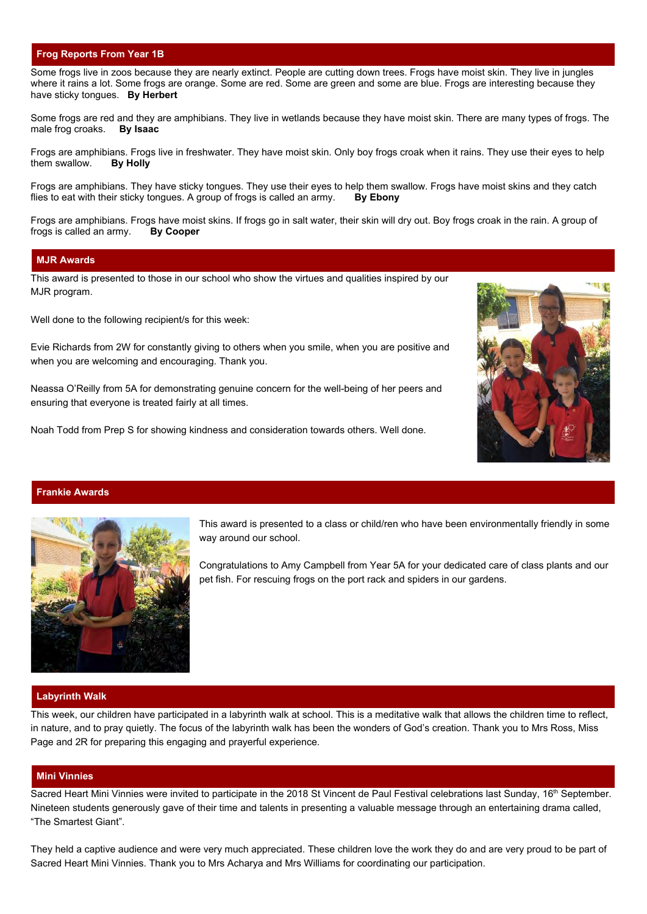#### **Frog Reports From Year 1B**

Some frogs live in zoos because they are nearly extinct. People are cutting down trees. Frogs have moist skin. They live in jungles where it rains a lot. Some frogs are orange. Some are red. Some are green and some are blue. Frogs are interesting because they have sticky tongues. **By Herbert** 

Some frogs are red and they are amphibians. They live in wetlands because they have moist skin. There are many types of frogs. The male frog croaks. **By Isaac** 

Frogs are amphibians. Frogs live in freshwater. They have moist skin. Only boy frogs croak when it rains. They use their eyes to help them swallow. **By Holly** them swallow.

Frogs are amphibians. They have sticky tongues. They use their eyes to help them swallow. Frogs have moist skins and they catch flies to eat with their sticky tongues. A group of frogs is called an army. By Ebony flies to eat with their sticky tongues. A group of frogs is called an army.

Frogs are amphibians. Frogs have moist skins. If frogs go in salt water, their skin will dry out. Boy frogs croak in the rain. A group of frogs is called an army. **By Cooper** 

#### **MJR Awards**

This award is presented to those in our school who show the virtues and qualities inspired by our MJR program.

Well done to the following recipient/s for this week:

Evie Richards from 2W for constantly giving to others when you smile, when you are positive and when you are welcoming and encouraging. Thank you.

Neassa O'Reilly from 5A for demonstrating genuine concern for the well-being of her peers and ensuring that everyone is treated fairly at all times.

Noah Todd from Prep S for showing kindness and consideration towards others. Well done.



#### **Frankie Awards**



This award is presented to a class or child/ren who have been environmentally friendly in some way around our school.

Congratulations to Amy Campbell from Year 5A for your dedicated care of class plants and our pet fish. For rescuing frogs on the port rack and spiders in our gardens.

#### **Labyrinth Walk**

This week, our children have participated in a labyrinth walk at school. This is a meditative walk that allows the children time to reflect, in nature, and to pray quietly. The focus of the labyrinth walk has been the wonders of God's creation. Thank you to Mrs Ross, Miss Page and 2R for preparing this engaging and prayerful experience.

#### **Mini Vinnies**

Sacred Heart Mini Vinnies were invited to participate in the 2018 St Vincent de Paul Festival celebrations last Sunday, 16<sup>th</sup> September. Nineteen students generously gave of their time and talents in presenting a valuable message through an entertaining drama called, "The Smartest Giant".

They held a captive audience and were very much appreciated. These children love the work they do and are very proud to be part of Sacred Heart Mini Vinnies. Thank you to Mrs Acharya and Mrs Williams for coordinating our participation.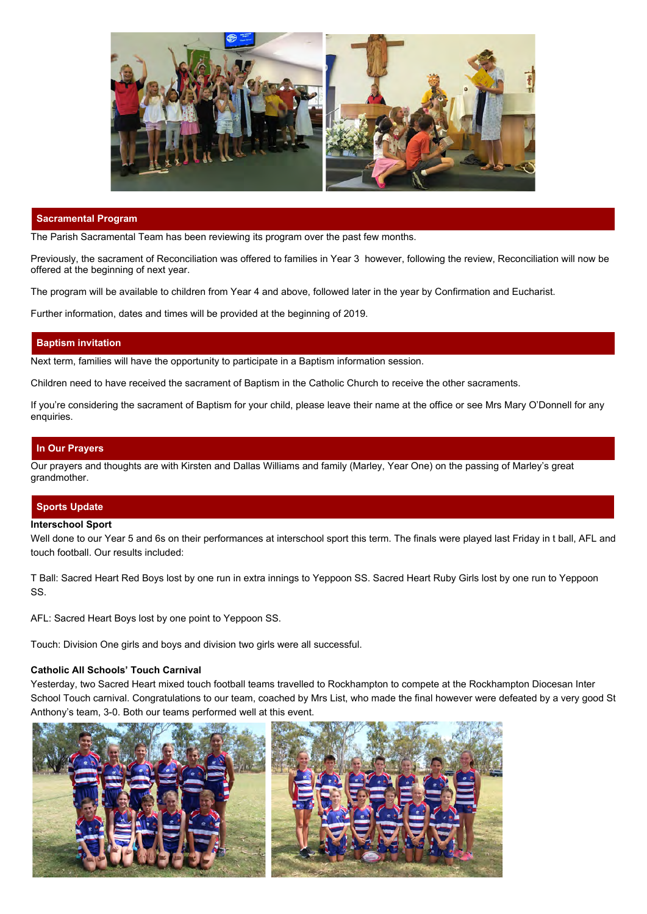

#### **Sacramental Program**

The Parish Sacramental Team has been reviewing its program over the past few months.

Previously, the sacrament of Reconciliation was offered to families in Year 3 however, following the review, Reconciliation will now be offered at the beginning of next year.

The program will be available to children from Year 4 and above, followed later in the year by Confirmation and Eucharist.

Further information, dates and times will be provided at the beginning of 2019.

#### **Baptism invitation**

Next term, families will have the opportunity to participate in a Baptism information session.

Children need to have received the sacrament of Baptism in the Catholic Church to receive the other sacraments.

If you're considering the sacrament of Baptism for your child, please leave their name at the office or see Mrs Mary O'Donnell for any enquiries.

#### **In Our Prayers**

Our prayers and thoughts are with Kirsten and Dallas Williams and family (Marley, Year One) on the passing of Marley's great grandmother.

#### **Sports Update**

#### **Interschool Sport**

Well done to our Year 5 and 6s on their performances at interschool sport this term. The finals were played last Friday in t ball, AFL and touch football. Our results included:

T Ball: Sacred Heart Red Boys lost by one run in extra innings to Yeppoon SS. Sacred Heart Ruby Girls lost by one run to Yeppoon SS.

AFL: Sacred Heart Boys lost by one point to Yeppoon SS.

Touch: Division One girls and boys and division two girls were all successful.

#### **Catholic All Schools' Touch Carnival**

Yesterday, two Sacred Heart mixed touch football teams travelled to Rockhampton to compete at the Rockhampton Diocesan Inter School Touch carnival. Congratulations to our team, coached by Mrs List, who made the final however were defeated by a very good St Anthony's team, 3-0. Both our teams performed well at this event.

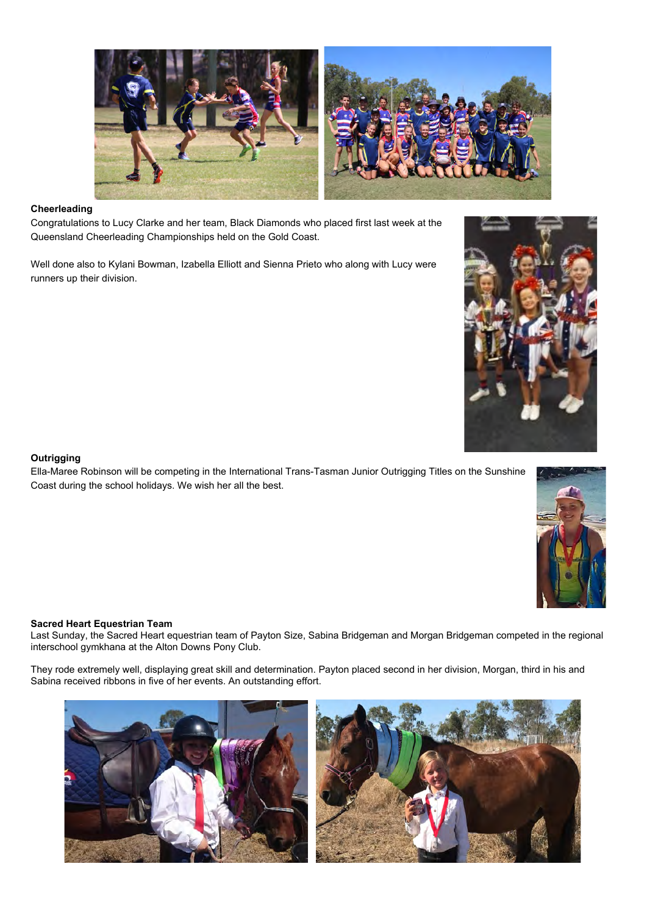

#### **Cheerleading**

Congratulations to Lucy Clarke and her team, Black Diamonds who placed first last week at the Queensland Cheerleading Championships held on the Gold Coast.

Well done also to Kylani Bowman, Izabella Elliott and Sienna Prieto who along with Lucy were runners up their division.



#### **Outrigging**

Ella-Maree Robinson will be competing in the International Trans-Tasman Junior Outrigging Titles on the Sunshine Coast during the school holidays. We wish her all the best.



#### **Sacred Heart Equestrian Team**

Last Sunday, the Sacred Heart equestrian team of Payton Size, Sabina Bridgeman and Morgan Bridgeman competed in the regional interschool gymkhana at the Alton Downs Pony Club.

They rode extremely well, displaying great skill and determination. Payton placed second in her division, Morgan, third in his and Sabina received ribbons in five of her events. An outstanding effort.

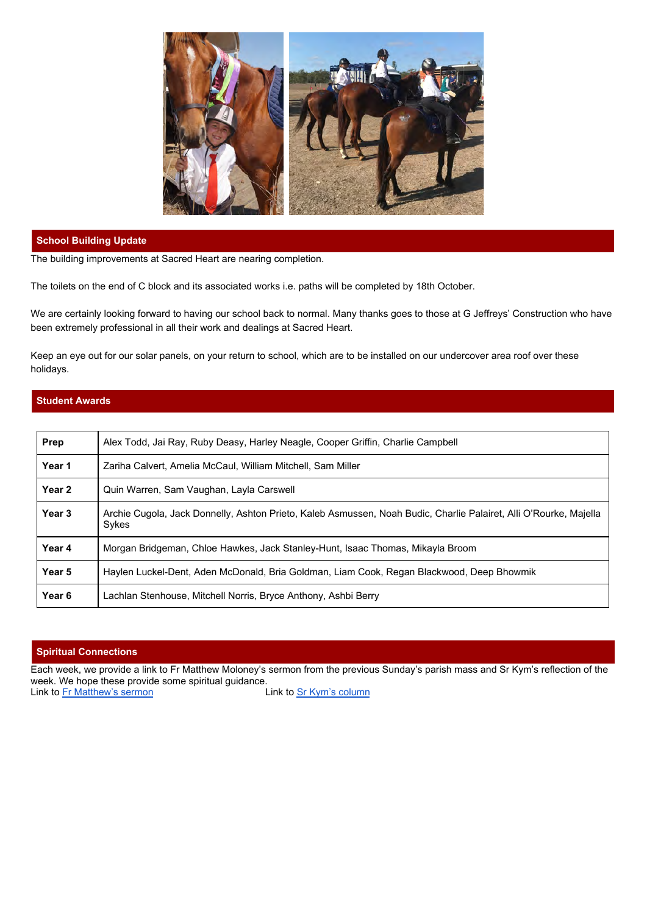

#### **School Building Update**

The building improvements at Sacred Heart are nearing completion.

The toilets on the end of C block and its associated works i.e. paths will be completed by 18th October.

We are certainly looking forward to having our school back to normal. Many thanks goes to those at G Jeffreys' Construction who have been extremely professional in all their work and dealings at Sacred Heart.

Keep an eye out for our solar panels, on your return to school, which are to be installed on our undercover area roof over these holidays.

#### **Student Awards**

| Prep              | Alex Todd, Jai Ray, Ruby Deasy, Harley Neagle, Cooper Griffin, Charlie Campbell                                            |
|-------------------|----------------------------------------------------------------------------------------------------------------------------|
| Year 1            | Zariha Calvert, Amelia McCaul, William Mitchell, Sam Miller                                                                |
| Year 2            | Quin Warren, Sam Vaughan, Layla Carswell                                                                                   |
| Year 3            | Archie Cugola, Jack Donnelly, Ashton Prieto, Kaleb Asmussen, Noah Budic, Charlie Palairet, Alli O'Rourke, Majella<br>Sykes |
| Year 4            | Morgan Bridgeman, Chloe Hawkes, Jack Stanley-Hunt, Isaac Thomas, Mikayla Broom                                             |
| Year 5            | Haylen Luckel-Dent, Aden McDonald, Bria Goldman, Liam Cook, Regan Blackwood, Deep Bhowmik                                  |
| Year <sub>6</sub> | Lachlan Stenhouse, Mitchell Norris, Bryce Anthony, Ashbi Berry                                                             |

#### **Spiritual Connections**

Each week, we provide a link to Fr Matthew Moloney's sermon from the previous Sunday's parish mass and Sr Kym's reflection of the week. We hope these provide some spiritual guidance.<br>Link to Fr Matthew's sermon Link to Sr Kym's column

Link to [Fr Matthew's sermon](https://drive.google.com/a/rok.catholic.edu.au/file/d/1q4vpC54FgMfARO6qP8BJR7WhzPehorxC/view?usp=sharing)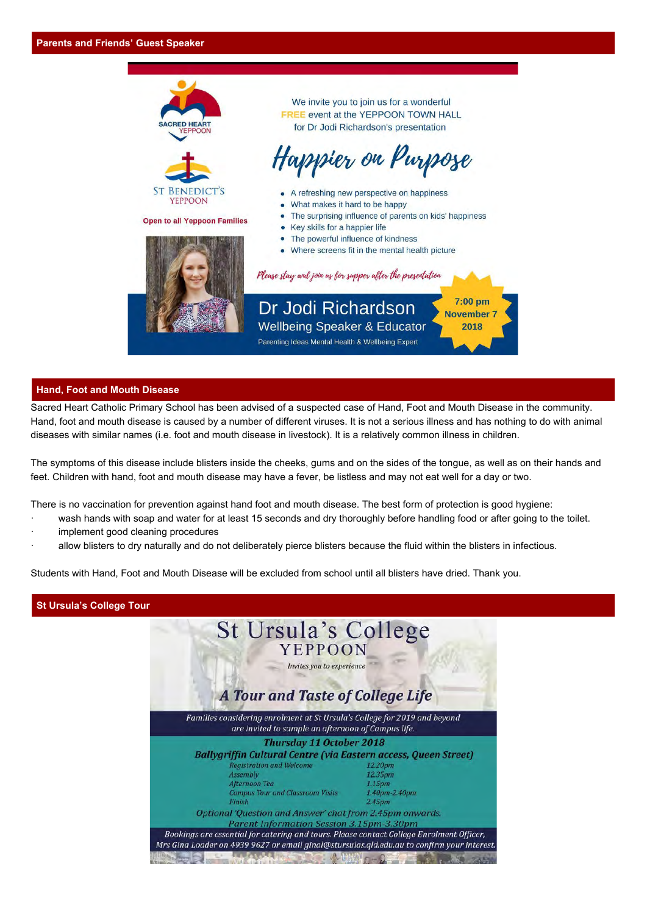

#### **Hand, Foot and Mouth Disease**

Sacred Heart Catholic Primary School has been advised of a suspected case of Hand, Foot and Mouth Disease in the community. Hand, foot and mouth disease is caused by a number of different viruses. It is not a serious illness and has nothing to do with animal diseases with similar names (i.e. foot and mouth disease in livestock). It is a relatively common illness in children.

7:00 pm

November 7

2018

The symptoms of this disease include blisters inside the cheeks, gums and on the sides of the tongue, as well as on their hands and feet. Children with hand, foot and mouth disease may have a fever, be listless and may not eat well for a day or two.

There is no vaccination for prevention against hand foot and mouth disease. The best form of protection is good hygiene:

- wash hands with soap and water for at least 15 seconds and dry thoroughly before handling food or after going to the toilet.
- implement good cleaning procedures
- allow blisters to dry naturally and do not deliberately pierce blisters because the fluid within the blisters in infectious.

Students with Hand, Foot and Mouth Disease will be excluded from school until all blisters have dried. Thank you.

#### **St Ursula's College Tour**

| St Ursula's College<br><b>YEPPOON</b><br>Invites you to experience                                                              |                                                                                          |
|---------------------------------------------------------------------------------------------------------------------------------|------------------------------------------------------------------------------------------|
| A Tour and Taste of College Life                                                                                                |                                                                                          |
| Families considering enrolment at St Ursula's College for 2019 and beyond<br>are invited to sample an afternoon of Campus life. |                                                                                          |
| <b>Thursday 11 October 2018</b>                                                                                                 |                                                                                          |
| Ballygriffin Cultural Centre (via Eastern access, Queen Street)                                                                 |                                                                                          |
| <b>Registration and Welcome</b>                                                                                                 | 12.20pm                                                                                  |
| <b>Assembly</b>                                                                                                                 | 12.35pm                                                                                  |
| <b>Afternoon Tea</b>                                                                                                            | 1.15pm                                                                                   |
| <b>Campus Tour and Classroom Visits</b>                                                                                         | 1.40pm-2.40pm                                                                            |
| Finish                                                                                                                          | 2.45 <sub>pm</sub>                                                                       |
| Optional 'Question and Answer' chat from 2.45pm onwards.                                                                        |                                                                                          |
| <b>Parent Information Session 3.15pm-3.30pm</b>                                                                                 |                                                                                          |
|                                                                                                                                 | Bookings are essential for catering and tours. Please contact College Enrolment Officer, |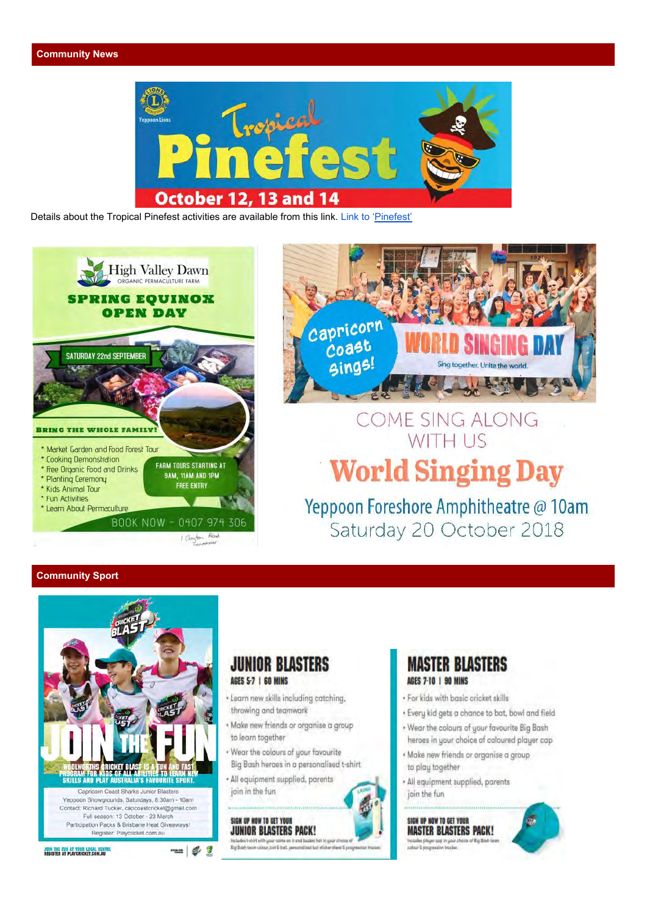

Details about the Tropical Pinefest activities are available from this link. Link to 'Pinefest'





## COME SING ALONG **WITH US World Singing Day**

# Yeppoon Foreshore Amphitheatre @ 10am Saturday 20 October 2018

#### **Community Sport**



#### JOIN THE FUN AT YOUR LOCAL CENT<br>REGISTER AT PLAYCRICKET.COM.AU

### **JUNIOR BLASTERS** AGES 5-7 | GO MINS

- · Learn new skills including catching, throwing and teamwork
- · Make new friends or organise a group to learn together
- . Wear the colours of your favourite
- Big Bash heroes in a personalised t-shirt
- · All equipment supplied, parents join in the fun

SIGN UP NOW TO GET YOUR **JUNIOR BLASTERS PACK!** Includes t-shirt with your name on it and bucket hat in your choice of<br>Eig Bash team colour, bat 6 ball, personalized bat sticker sheet 6 progre

### **MASTER BLASTERS AGES 7-10 | 90 MINS**

- · For kids with basic cricket skills
- + Every kid gets a chance to bat, bowl and field
- . Wear the colours of your favourite Big Bash
- heroes in your choice of coloured player cap
- « Make new friends or organise a group to play together
- · All equipment supplied, parents join the fun

SIGN UP NOW TO GET YOUR **MASTER BLASTERS PACK!** ikidea player oap in your cl<br>laur 6 programlon tracker.